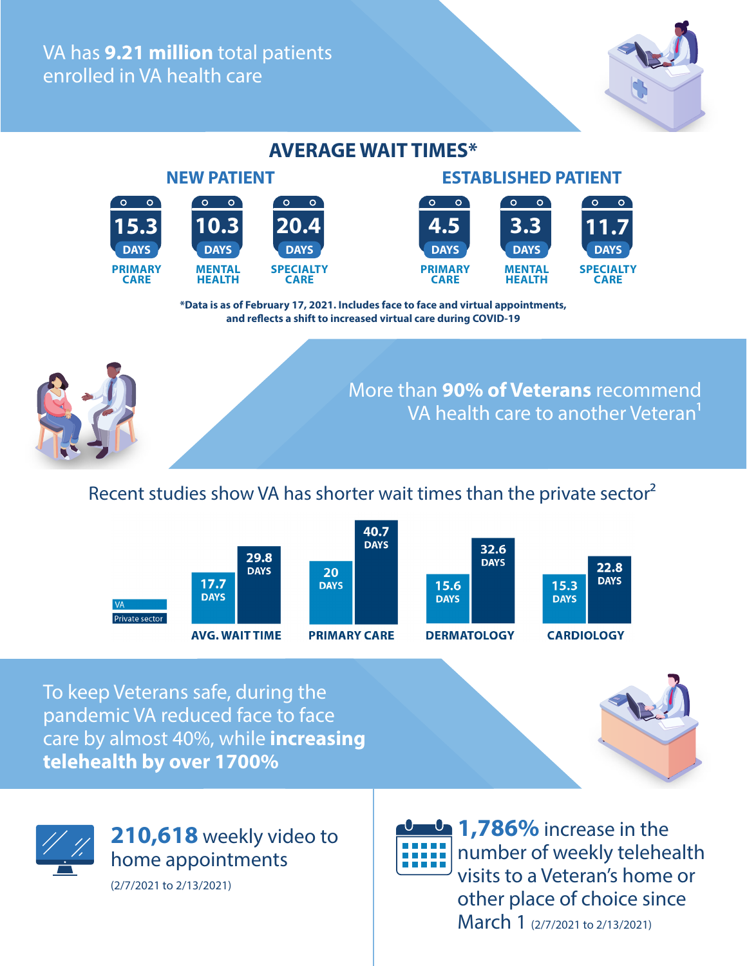VA has **9.21 million** total patients enrolled in VA health care

#### **NEW PATIENT ESTABLISHED PATIENT**   $^{\circ}$  O  $\circ$ 15.3 **10.3 20.4 4.5 3.3 11.7 20.4 10.3 DAYS DAYS DAYS PRIMARY MENTAL SPECIALTY CARE HEALTH CARE**

#### **AVERAGE WAIT TIMES\***



**\*Data is as of February 17, 2021. Includes face to face and virtual appointments, and reflects a shift to increased virtual care during COVID-19**



More than **90% of Veterans** recommend VA health care to another Veteran<sup>1</sup>

# Recent studies show VA has shorter wait times than the private sector<sup>2</sup>



To keep Veterans safe, during the pandemic VA reduced face to face care by almost 40%, while **increasing telehealth by over 1700%**





**1,786%** increase in the number of weekly telehealth ,,,,, visits to a Veteran's home or other place of choice since March 1 (2/7/2021 to 2/13/2021)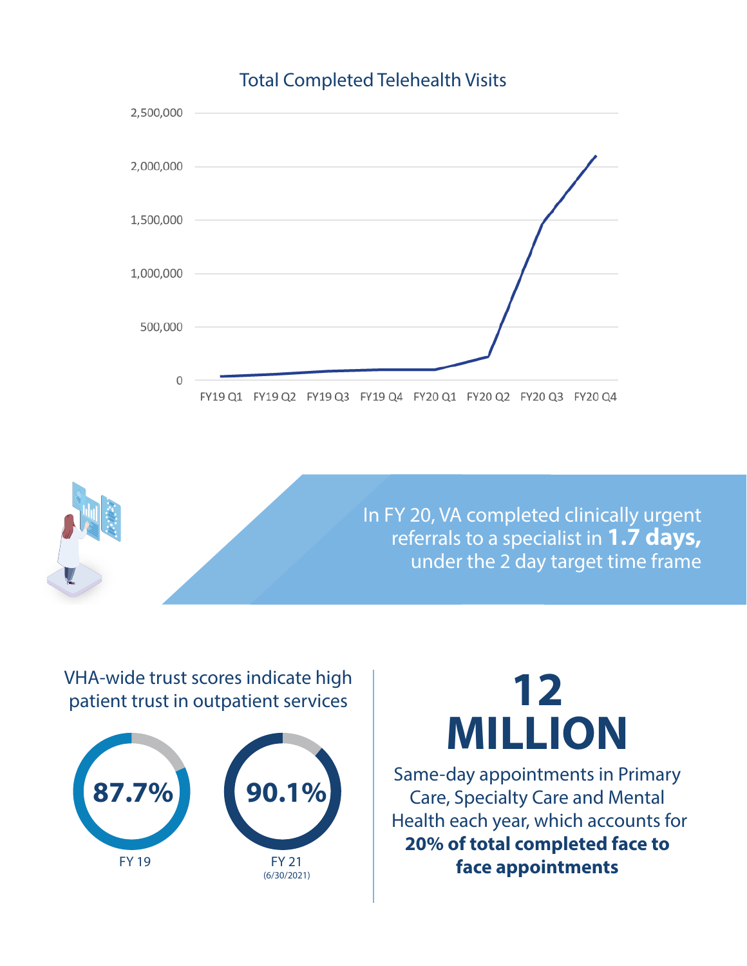# Total Completed Telehealth Visits





# VHA-wide trust scores indicate high patient trust in outpatient services



# **12 MILLION**

Same-day appointments in Primary Care, Specialty Care and Mental Health each year, which accounts for **20% of total completed face to face appointments**